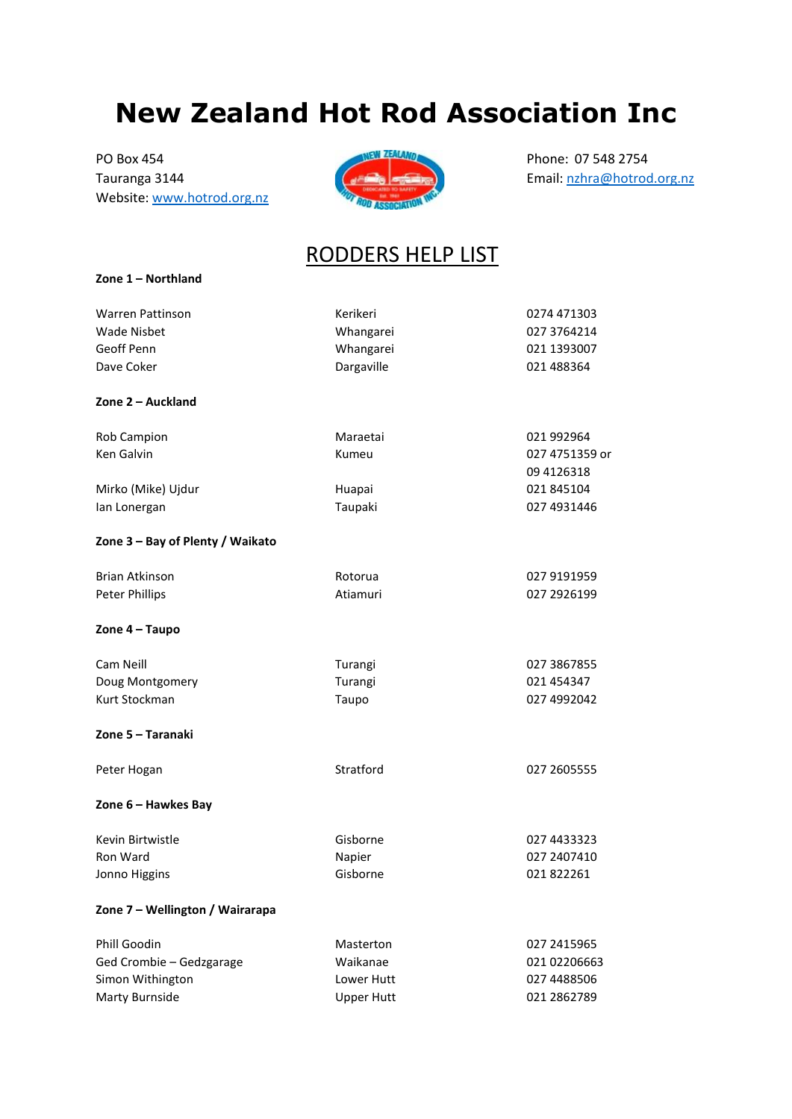## **New Zealand Hot Rod Association Inc**

Tauranga 3144 **Amir ang kabupatèn Sumail:** nati kabupatèn Benail: naha manga 3144 **Kabupatèn Sumai désa di Kabupatèn Sumai Propinsi Sumai Propinsi Jawa** Website[: www.hotrod.org.nz](http://www.hotrod.org.nz/)

**Zone 1 – Northland**



## RODDERS HELP LIST

| Warren Pattinson                 | Kerikeri          | 0274 471303                   |
|----------------------------------|-------------------|-------------------------------|
| <b>Wade Nisbet</b>               | Whangarei         | 027 3764214                   |
| Geoff Penn                       | Whangarei         | 021 1393007                   |
| Dave Coker                       | Dargaville        | 021 488364                    |
| Zone 2 - Auckland                |                   |                               |
| Rob Campion                      | Maraetai          | 021 992964                    |
| Ken Galvin                       | Kumeu             | 027 4751359 or<br>09 412 6318 |
| Mirko (Mike) Ujdur               | Huapai            | 021 845104                    |
| lan Lonergan                     | Taupaki           | 027 4931446                   |
| Zone 3 - Bay of Plenty / Waikato |                   |                               |
| <b>Brian Atkinson</b>            | Rotorua           | 027 9191959                   |
| <b>Peter Phillips</b>            | Atiamuri          | 027 2926199                   |
| Zone 4 - Taupo                   |                   |                               |
| Cam Neill                        | Turangi           | 027 3867855                   |
| Doug Montgomery                  | Turangi           | 021 454347                    |
| Kurt Stockman                    | Taupo             | 027 4992042                   |
| Zone 5 - Taranaki                |                   |                               |
| Peter Hogan                      | Stratford         | 027 2605555                   |
| Zone 6 - Hawkes Bay              |                   |                               |
| Kevin Birtwistle                 | Gisborne          | 027 4433323                   |
| Ron Ward                         | Napier            | 027 2407410                   |
| Jonno Higgins                    | Gisborne          | 021822261                     |
| Zone 7 - Wellington / Wairarapa  |                   |                               |
| <b>Phill Goodin</b>              | Masterton         | 027 2415965                   |
| Ged Crombie - Gedzgarage         | Waikanae          | 021 02206663                  |
| Simon Withington                 | Lower Hutt        | 027 4488506                   |
| Marty Burnside                   | <b>Upper Hutt</b> | 021 2862789                   |